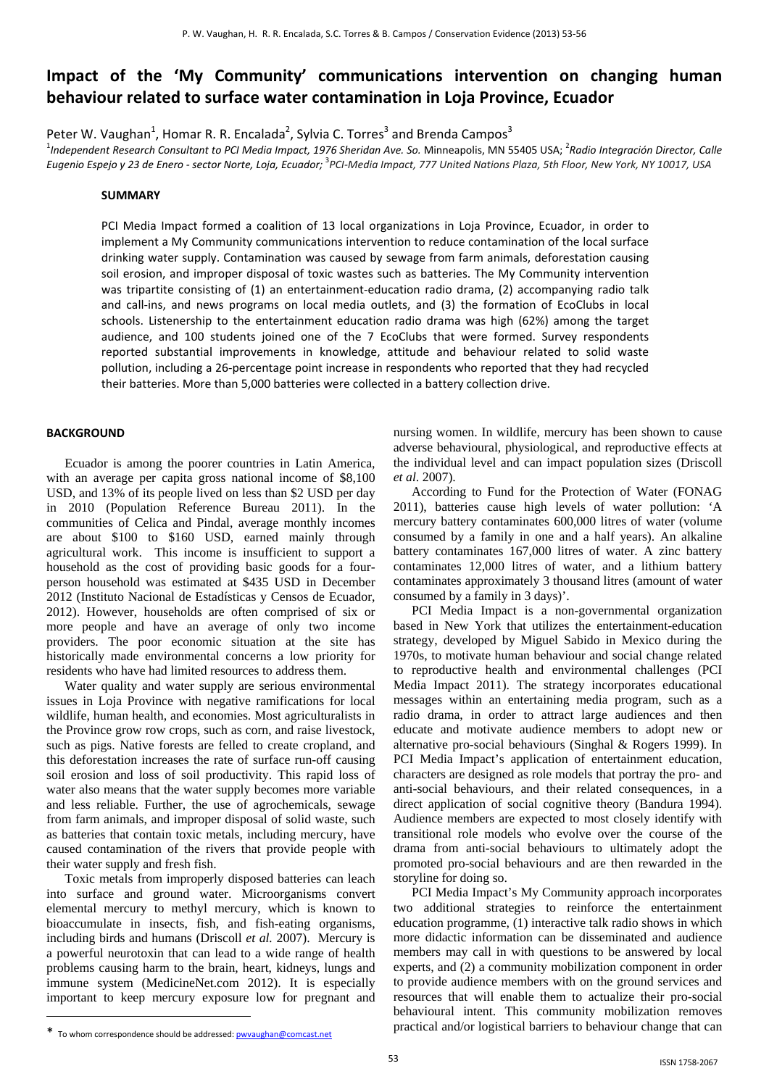# **Impact of the 'My Community' communications intervention on changing human behaviour related to surface water contamination in Loja Province, Ecuador**

Peter W. Vaughan<sup>1</sup>, Homar R. R. Encalada<sup>2</sup>, Sylvia C. Torres<sup>3</sup> and Brenda Campos<sup>3</sup>

 $^1$ Independent Research Consultant to PCI Media Impact, 1976 Sheridan Ave. So. Minneapolis, MN 55405 USA;  $^2$ Radio Integración Director, Calle Eugenio Espejo y 23 de Enero - sector Norte, Loja, Ecuador; <sup>3</sup>PCI-Media Impact, 777 United Nations Plaza, 5th Floor, New York, NY 10017, USA

# **SUMMARY**

PCI Media Impact formed a coalition of 13 local organizations in Loja Province, Ecuador, in order to implement a My Community communications intervention to reduce contamination of the local surface drinking water supply. Contamination was caused by sewage from farm animals, deforestation causing soil erosion, and improper disposal of toxic wastes such as batteries. The My Community intervention was tripartite consisting of (1) an entertainment-education radio drama, (2) accompanying radio talk and call‐ins, and news programs on local media outlets, and (3) the formation of EcoClubs in local schools. Listenership to the entertainment education radio drama was high (62%) among the target audience, and 100 students joined one of the 7 EcoClubs that were formed. Survey respondents reported substantial improvements in knowledge, attitude and behaviour related to solid waste pollution, including a 26‐percentage point increase in respondents who reported that they had recycled their batteries. More than 5,000 batteries were collected in a battery collection drive.

# **BACKGROUND**

Ecuador is among the poorer countries in Latin America, with an average per capita gross national income of \$8,100 USD, and 13% of its people lived on less than \$2 USD per day in 2010 (Population Reference Bureau 2011). In the communities of Celica and Pindal, average monthly incomes are about \$100 to \$160 USD, earned mainly through agricultural work. This income is insufficient to support a household as the cost of providing basic goods for a fourperson household was estimated at \$435 USD in December 2012 (Instituto Nacional de Estadísticas y Censos de Ecuador, 2012). However, households are often comprised of six or more people and have an average of only two income providers. The poor economic situation at the site has historically made environmental concerns a low priority for residents who have had limited resources to address them.

Water quality and water supply are serious environmental issues in Loja Province with negative ramifications for local wildlife, human health, and economies. Most agriculturalists in the Province grow row crops, such as corn, and raise livestock, such as pigs. Native forests are felled to create cropland, and this deforestation increases the rate of surface run-off causing soil erosion and loss of soil productivity. This rapid loss of water also means that the water supply becomes more variable and less reliable. Further, the use of agrochemicals, sewage from farm animals, and improper disposal of solid waste, such as batteries that contain toxic metals, including mercury, have caused contamination of the rivers that provide people with their water supply and fresh fish.

Toxic metals from improperly disposed batteries can leach into surface and ground water. Microorganisms convert elemental mercury to methyl mercury, which is known to bioaccumulate in insects, fish, and fish-eating organisms, including birds and humans (Driscoll *et al.* 2007). Mercury is a powerful neurotoxin that can lead to a wide range of health problems causing harm to the brain, heart, kidneys, lungs and immune system (MedicineNet.com 2012). It is especially important to keep mercury exposure low for pregnant and

nursing women. In wildlife, mercury has been shown to cause adverse behavioural, physiological, and reproductive effects at the individual level and can impact population sizes (Driscoll *et al*. 2007).

According to Fund for the Protection of Water (FONAG 2011), batteries cause high levels of water pollution: 'A mercury battery contaminates 600,000 litres of water (volume consumed by a family in one and a half years). An alkaline battery contaminates 167,000 litres of water. A zinc battery contaminates 12,000 litres of water, and a lithium battery contaminates approximately 3 thousand litres (amount of water consumed by a family in 3 days)'.

PCI Media Impact is a non-governmental organization based in New York that utilizes the entertainment-education strategy, developed by Miguel Sabido in Mexico during the 1970s, to motivate human behaviour and social change related to reproductive health and environmental challenges (PCI Media Impact 2011). The strategy incorporates educational messages within an entertaining media program, such as a radio drama, in order to attract large audiences and then educate and motivate audience members to adopt new or alternative pro-social behaviours (Singhal & Rogers 1999). In PCI Media Impact's application of entertainment education, characters are designed as role models that portray the pro- and anti-social behaviours, and their related consequences, in a direct application of social cognitive theory (Bandura 1994). Audience members are expected to most closely identify with transitional role models who evolve over the course of the drama from anti-social behaviours to ultimately adopt the promoted pro-social behaviours and are then rewarded in the storyline for doing so.

PCI Media Impact's My Community approach incorporates two additional strategies to reinforce the entertainment education programme, (1) interactive talk radio shows in which more didactic information can be disseminated and audience members may call in with questions to be answered by local experts, and (2) a community mobilization component in order to provide audience members with on the ground services and resources that will enable them to actualize their pro-social behavioural intent. This community mobilization removes practical and/or logistical barriers to behaviour change that can

l

<sup>\*</sup> To whom correspondence should be addressed: pwvaughan@comcast.net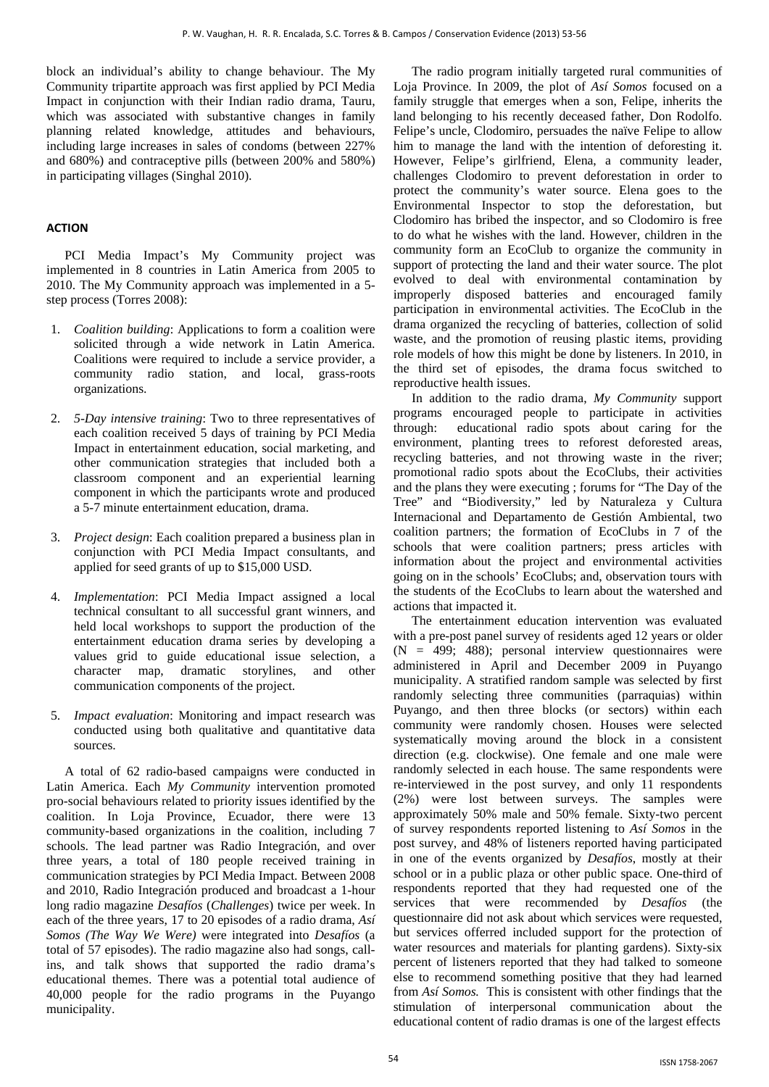block an individual's ability to change behaviour. The My Community tripartite approach was first applied by PCI Media Impact in conjunction with their Indian radio drama, Tauru, which was associated with substantive changes in family planning related knowledge, attitudes and behaviours, including large increases in sales of condoms (between 227% and 680%) and contraceptive pills (between 200% and 580%) in participating villages (Singhal 2010).

# **ACTION**

PCI Media Impact's My Community project was implemented in 8 countries in Latin America from 2005 to 2010. The My Community approach was implemented in a 5 step process (Torres 2008):

- 1. *Coalition building*: Applications to form a coalition were solicited through a wide network in Latin America. Coalitions were required to include a service provider, a community radio station, and local, grass-roots organizations.
- 2. *5-Day intensive training*: Two to three representatives of each coalition received 5 days of training by PCI Media Impact in entertainment education, social marketing, and other communication strategies that included both a classroom component and an experiential learning component in which the participants wrote and produced a 5-7 minute entertainment education, drama.
- 3. *Project design*: Each coalition prepared a business plan in conjunction with PCI Media Impact consultants, and applied for seed grants of up to \$15,000 USD.
- 4. *Implementation*: PCI Media Impact assigned a local technical consultant to all successful grant winners, and held local workshops to support the production of the entertainment education drama series by developing a values grid to guide educational issue selection, a character map, dramatic storylines, and other communication components of the project.
- 5. *Impact evaluation*: Monitoring and impact research was conducted using both qualitative and quantitative data sources.

A total of 62 radio-based campaigns were conducted in Latin America. Each *My Community* intervention promoted pro-social behaviours related to priority issues identified by the coalition. In Loja Province, Ecuador, there were 13 community-based organizations in the coalition, including 7 schools. The lead partner was Radio Integración, and over three years, a total of 180 people received training in communication strategies by PCI Media Impact. Between 2008 and 2010, Radio Integración produced and broadcast a 1-hour long radio magazine *Desafíos* (*Challenges*) twice per week. In each of the three years, 17 to 20 episodes of a radio drama, *Así Somos (The Way We Were)* were integrated into *Desafíos* (a total of 57 episodes). The radio magazine also had songs, callins, and talk shows that supported the radio drama's educational themes. There was a potential total audience of 40,000 people for the radio programs in the Puyango municipality.

The radio program initially targeted rural communities of Loja Province. In 2009, the plot of *Así Somos* focused on a family struggle that emerges when a son, Felipe, inherits the land belonging to his recently deceased father, Don Rodolfo. Felipe's uncle, Clodomiro, persuades the naïve Felipe to allow him to manage the land with the intention of deforesting it. However, Felipe's girlfriend, Elena, a community leader, challenges Clodomiro to prevent deforestation in order to protect the community's water source. Elena goes to the Environmental Inspector to stop the deforestation, but Clodomiro has bribed the inspector, and so Clodomiro is free to do what he wishes with the land. However, children in the community form an EcoClub to organize the community in support of protecting the land and their water source. The plot evolved to deal with environmental contamination by improperly disposed batteries and encouraged family participation in environmental activities. The EcoClub in the drama organized the recycling of batteries, collection of solid waste, and the promotion of reusing plastic items, providing role models of how this might be done by listeners. In 2010, in the third set of episodes, the drama focus switched to reproductive health issues.

In addition to the radio drama, *My Community* support programs encouraged people to participate in activities through: educational radio spots about caring for the environment, planting trees to reforest deforested areas, recycling batteries, and not throwing waste in the river; promotional radio spots about the EcoClubs, their activities and the plans they were executing ; forums for "The Day of the Tree" and "Biodiversity," led by Naturaleza y Cultura Internacional and Departamento de Gestión Ambiental, two coalition partners; the formation of EcoClubs in 7 of the schools that were coalition partners; press articles with information about the project and environmental activities going on in the schools' EcoClubs; and, observation tours with the students of the EcoClubs to learn about the watershed and actions that impacted it.

The entertainment education intervention was evaluated with a pre-post panel survey of residents aged 12 years or older  $(N = 499; 488)$ ; personal interview questionnaires were administered in April and December 2009 in Puyango municipality. A stratified random sample was selected by first randomly selecting three communities (parraquias) within Puyango, and then three blocks (or sectors) within each community were randomly chosen. Houses were selected systematically moving around the block in a consistent direction (e.g. clockwise). One female and one male were randomly selected in each house. The same respondents were re-interviewed in the post survey, and only 11 respondents (2%) were lost between surveys. The samples were approximately 50% male and 50% female. Sixty-two percent of survey respondents reported listening to *Así Somos* in the post survey, and 48% of listeners reported having participated in one of the events organized by *Desafíos*, mostly at their school or in a public plaza or other public space. One-third of respondents reported that they had requested one of the services that were recommended by *Desafíos* (the questionnaire did not ask about which services were requested, but services offerred included support for the protection of water resources and materials for planting gardens). Sixty-six percent of listeners reported that they had talked to someone else to recommend something positive that they had learned from *Así Somos.* This is consistent with other findings that the stimulation of interpersonal communication about the educational content of radio dramas is one of the largest effects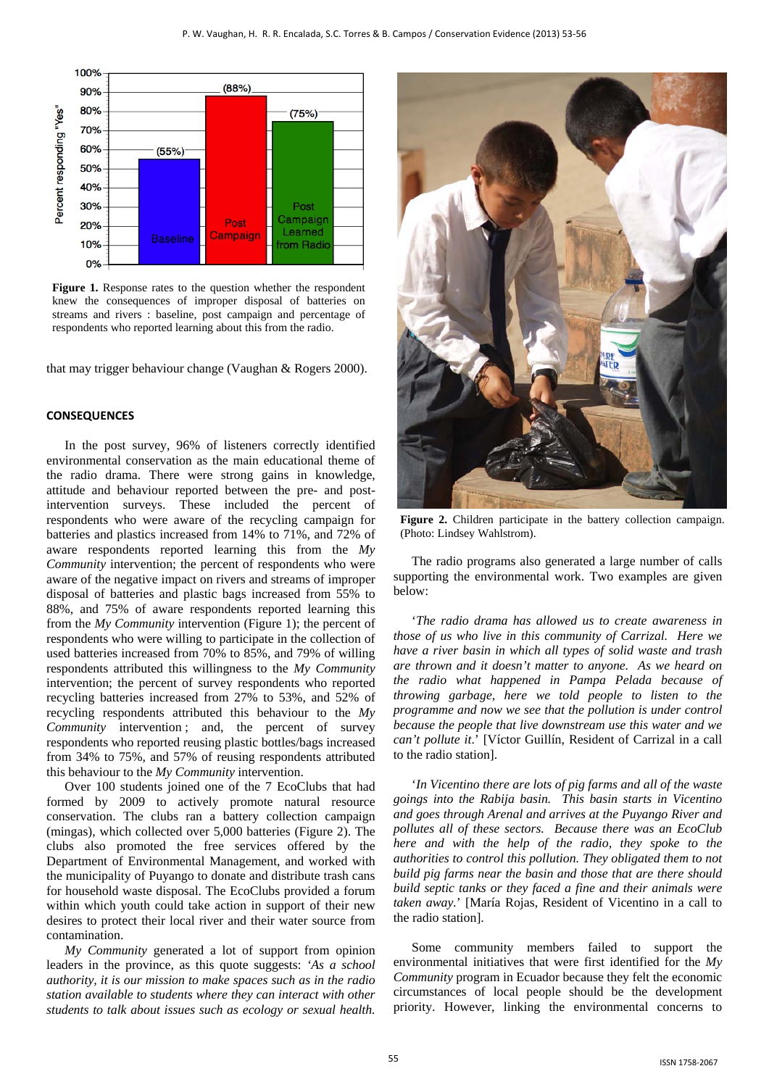

of the entertainment education strategy and is a mechanism strategy and is a mechanism strategy and is a mechanism of  $\sigma$ **Figure 1.** Response rates to the question whether the respondent knew the consequences of improper disposal of batteries on streams and rivers : baseline, post campaign and percentage of respondents who reported learning about this from the radio.

that may trigger behaviour change (Vaughan & Rogers 2000).

#### **CONSEQUENCES**

In the post survey, 96% of listeners correctly identified environmental conservation as the main educational theme of the radio drama. There were strong gains in knowledge, attitude and behaviour reported between the pre- and postintervention surveys. These included the percent of respondents who were aware of the recycling campaign for batteries and plastics increased from 14% to 71%, and 72% of aware respondents reported learning this from the *My Community* intervention; the percent of respondents who were aware of the negative impact on rivers and streams of improper disposal of batteries and plastic bags increased from 55% to 88%, and 75% of aware respondents reported learning this from the *My Community* intervention (Figure 1); the percent of respondents who were willing to participate in the collection of used batteries increased from 70% to 85%, and 79% of willing respondents attributed this willingness to the *My Community* intervention; the percent of survey respondents who reported recycling batteries increased from 27% to 53%, and 52% of recycling respondents attributed this behaviour to the *My Community* intervention; and, the percent of survey respondents who reported reusing plastic bottles/bags increased from 34% to 75%, and 57% of reusing respondents attributed this behaviour to the *My Community* intervention.

Over 100 students joined one of the 7 EcoClubs that had formed by 2009 to actively promote natural resource conservation. The clubs ran a battery collection campaign (mingas), which collected over 5,000 batteries (Figure 2). The clubs also promoted the free services offered by the Department of Environmental Management, and worked with the municipality of Puyango to donate and distribute trash cans for household waste disposal. The EcoClubs provided a forum within which youth could take action in support of their new desires to protect their local river and their water source from contamination.

*My Community* generated a lot of support from opinion leaders in the province, as this quote suggests: *'As a school authority, it is our mission to make spaces such as in the radio station available to students where they can interact with other students to talk about issues such as ecology or sexual health.* 



**Figure 2.** Children participate in the battery collection campaign. (Photo: Lindsey Wahlstrom).

The radio programs also generated a large number of calls supporting the environmental work. Two examples are given below:

'*The radio drama has allowed us to create awareness in those of us who live in this community of Carrizal. Here we have a river basin in which all types of solid waste and trash are thrown and it doesn't matter to anyone. As we heard on the radio what happened in Pampa Pelada because of throwing garbage, here we told people to listen to the programme and now we see that the pollution is under control because the people that live downstream use this water and we can't pollute it*.' [Víctor Guillín, Resident of Carrizal in a call to the radio station].

'*In Vicentino there are lots of pig farms and all of the waste goings into the Rabija basin. This basin starts in Vicentino and goes through Arenal and arrives at the Puyango River and pollutes all of these sectors. Because there was an EcoClub here and with the help of the radio, they spoke to the authorities to control this pollution. They obligated them to not build pig farms near the basin and those that are there should build septic tanks or they faced a fine and their animals were taken away.*' [María Rojas, Resident of Vicentino in a call to the radio station].

Some community members failed to support the environmental initiatives that were first identified for the *My Community* program in Ecuador because they felt the economic circumstances of local people should be the development priority. However, linking the environmental concerns to